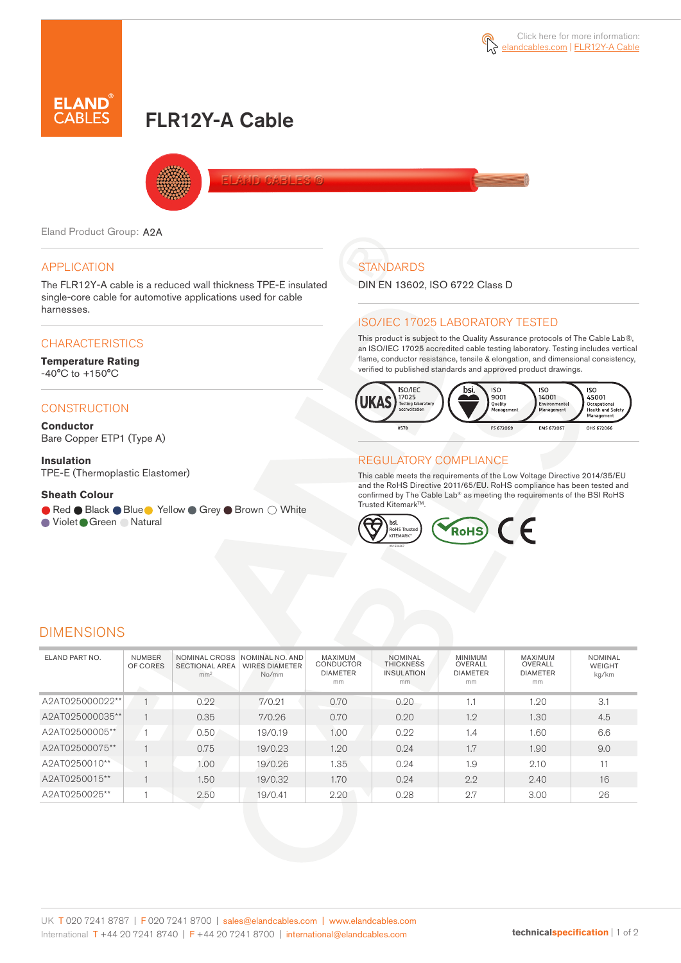# FLR12Y-A Cable



Eland Product Group: A2A

### APPLICATION

The FLR12Y-A cable is a reduced wall thickness TPE-E insulated single-core cable for automotive applications used for cable harnesses.

### **CHARACTERISTICS**

#### **Temperature Rating**  -40°C to +150°C

### **CONSTRUCTION**

**Conductor** Bare Copper ETP1 (Type A)

#### **Insulation**

TPE-E (Thermoplastic Elastomer)

#### **Sheath Colour**

● Red ● Black ● Blue ● Yellow ● Grey ● Brown ○ White

● Violet Green ● Natural

# **STANDARDS**

DIN EN 13602, ISO 6722 Class D

#### ISO/IEC 17025 LABORATORY TESTED

This product is subject to the Quality Assurance protocols of The Cable Lab®, an ISO/IEC 17025 accredited cable testing laboratory. Testing includes vertical flame, conductor resistance, tensile & elongation, and dimensional consistency, verified to published standards and approved product drawings.



#### REGULATORY COMPLIANCE

This cable meets the requirements of the Low Voltage Directive 2014/35/EU and the RoHS Directive 2011/65/EU. RoHS compliance has been tested and confirmed by The Cable Lab® as meeting the requirements of the BSI RoHS Trusted Kitemark™.



## DIMENSIONS

| ELAND PART NO.  | <b>NUMBER</b><br>OF CORES | NOMINAL CROSS<br><b>SECTIONAL AREA</b><br>mm <sup>2</sup> | NOMINAL NO. AND<br><b>WIRES DIAMETER</b><br>No/mm | <b>MAXIMUM</b><br><b>CONDUCTOR</b><br><b>DIAMETER</b><br>mm | <b>NOMINAL</b><br><b>THICKNESS</b><br><b>INSULATION</b><br>mm | <b>MINIMUM</b><br>OVERALL<br><b>DIAMETER</b><br>mm | <b>MAXIMUM</b><br>OVERALL<br><b>DIAMETER</b><br>mm | <b>NOMINAL</b><br>WEIGHT<br>kg/km |
|-----------------|---------------------------|-----------------------------------------------------------|---------------------------------------------------|-------------------------------------------------------------|---------------------------------------------------------------|----------------------------------------------------|----------------------------------------------------|-----------------------------------|
| A2AT025000022** |                           | 0.22                                                      | 7/0.21                                            | 0.70                                                        | 0.20                                                          | 1.1                                                | 1.20                                               | 3.1                               |
| A2AT025000035** |                           | 0.35                                                      | 7/0.26                                            | 0.70                                                        | 0.20                                                          | 1.2                                                | 1.30                                               | 4.5                               |
| A2AT02500005**  |                           | 0.50                                                      | 19/0.19                                           | 1.00                                                        | 0.22                                                          | 1.4                                                | 1.60                                               | 6.6                               |
| A2AT02500075**  |                           | 0.75                                                      | 19/0.23                                           | 1.20                                                        | 0.24                                                          | 1.7                                                | 1.90                                               | 9.0                               |
| A2AT0250010**   |                           | 1.00                                                      | 19/0.26                                           | 1.35                                                        | 0.24                                                          | 1.9                                                | 2.10                                               | 11                                |
| A2AT0250015**   |                           | 1.50                                                      | 19/0.32                                           | 1.70                                                        | 0.24                                                          | 2.2                                                | 2.40                                               | 16                                |
| A2AT0250025**   |                           | 2.50                                                      | 19/0.41                                           | 2.20                                                        | 0.28                                                          | 2.7                                                | 3.00                                               | 26                                |